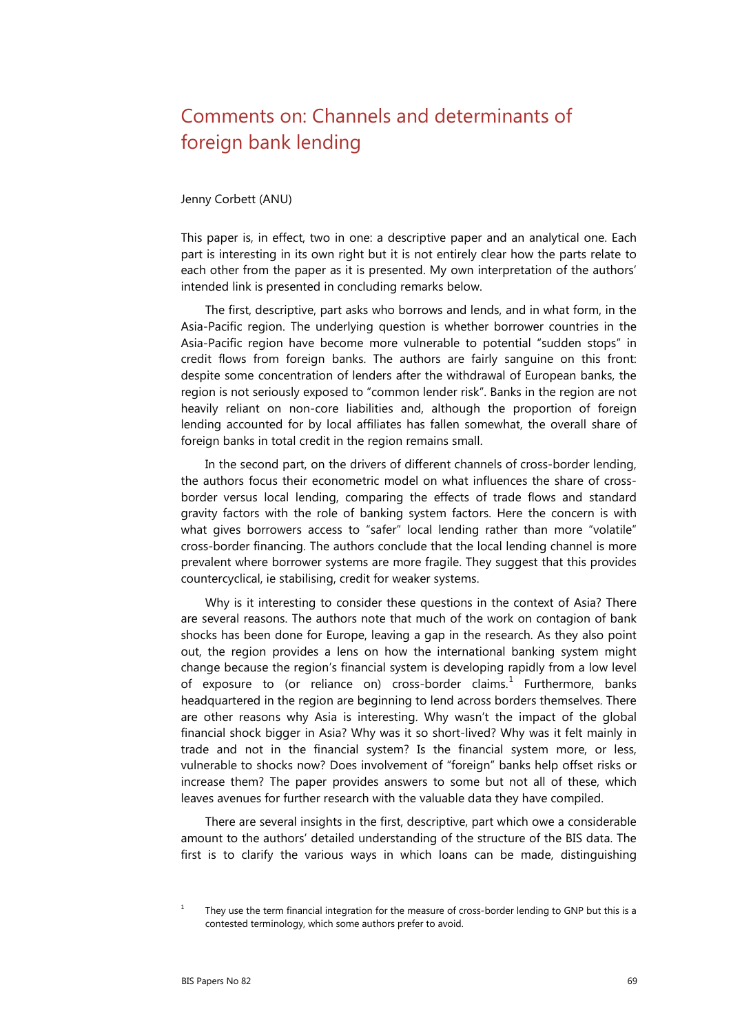## Comments on: Channels and determinants of foreign bank lending

## Jenny Corbett (ANU)

This paper is, in effect, two in one: a descriptive paper and an analytical one. Each part is interesting in its own right but it is not entirely clear how the parts relate to each other from the paper as it is presented. My own interpretation of the authors' intended link is presented in concluding remarks below.

The first, descriptive, part asks who borrows and lends, and in what form, in the Asia-Pacific region. The underlying question is whether borrower countries in the Asia-Pacific region have become more vulnerable to potential "sudden stops" in credit flows from foreign banks. The authors are fairly sanguine on this front: despite some concentration of lenders after the withdrawal of European banks, the region is not seriously exposed to "common lender risk". Banks in the region are not heavily reliant on non-core liabilities and, although the proportion of foreign lending accounted for by local affiliates has fallen somewhat, the overall share of foreign banks in total credit in the region remains small.

In the second part, on the drivers of different channels of cross-border lending, the authors focus their econometric model on what influences the share of crossborder versus local lending, comparing the effects of trade flows and standard gravity factors with the role of banking system factors. Here the concern is with what gives borrowers access to "safer" local lending rather than more "volatile" cross-border financing. The authors conclude that the local lending channel is more prevalent where borrower systems are more fragile. They suggest that this provides countercyclical, ie stabilising, credit for weaker systems.

Why is it interesting to consider these questions in the context of Asia? There are several reasons. The authors note that much of the work on contagion of bank shocks has been done for Europe, leaving a gap in the research. As they also point out, the region provides a lens on how the international banking system might change because the region's financial system is developing rapidly from a low level of exposure to (or reliance on) cross-border claims.<sup>[1](#page-0-0)</sup> Furthermore, banks headquartered in the region are beginning to lend across borders themselves. There are other reasons why Asia is interesting. Why wasn't the impact of the global financial shock bigger in Asia? Why was it so short-lived? Why was it felt mainly in trade and not in the financial system? Is the financial system more, or less, vulnerable to shocks now? Does involvement of "foreign" banks help offset risks or increase them? The paper provides answers to some but not all of these, which leaves avenues for further research with the valuable data they have compiled.

There are several insights in the first, descriptive, part which owe a considerable amount to the authors' detailed understanding of the structure of the BIS data. The first is to clarify the various ways in which loans can be made, distinguishing

<span id="page-0-0"></span><sup>&</sup>lt;sup>1</sup> They use the term financial integration for the measure of cross-border lending to GNP but this is a contested terminology, which some authors prefer to avoid.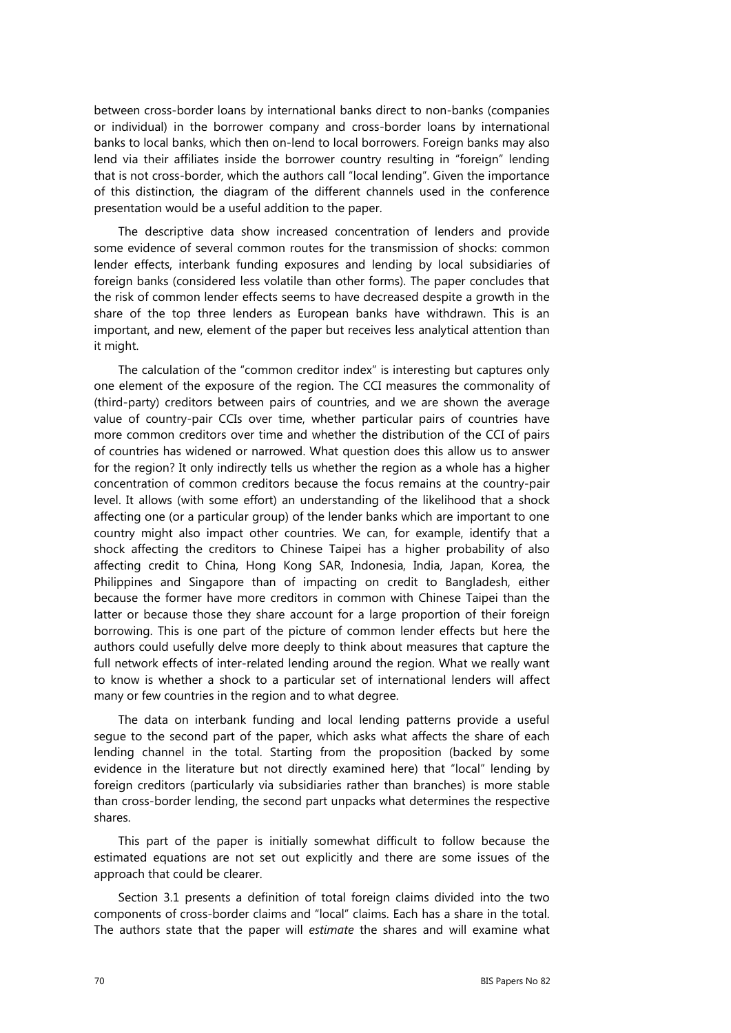between cross-border loans by international banks direct to non-banks (companies or individual) in the borrower company and cross-border loans by international banks to local banks, which then on-lend to local borrowers. Foreign banks may also lend via their affiliates inside the borrower country resulting in "foreign" lending that is not cross-border, which the authors call "local lending". Given the importance of this distinction, the diagram of the different channels used in the conference presentation would be a useful addition to the paper.

The descriptive data show increased concentration of lenders and provide some evidence of several common routes for the transmission of shocks: common lender effects, interbank funding exposures and lending by local subsidiaries of foreign banks (considered less volatile than other forms). The paper concludes that the risk of common lender effects seems to have decreased despite a growth in the share of the top three lenders as European banks have withdrawn. This is an important, and new, element of the paper but receives less analytical attention than it might.

The calculation of the "common creditor index" is interesting but captures only one element of the exposure of the region. The CCI measures the commonality of (third-party) creditors between pairs of countries, and we are shown the average value of country-pair CCIs over time, whether particular pairs of countries have more common creditors over time and whether the distribution of the CCI of pairs of countries has widened or narrowed. What question does this allow us to answer for the region? It only indirectly tells us whether the region as a whole has a higher concentration of common creditors because the focus remains at the country-pair level. It allows (with some effort) an understanding of the likelihood that a shock affecting one (or a particular group) of the lender banks which are important to one country might also impact other countries. We can, for example, identify that a shock affecting the creditors to Chinese Taipei has a higher probability of also affecting credit to China, Hong Kong SAR, Indonesia, India, Japan, Korea, the Philippines and Singapore than of impacting on credit to Bangladesh, either because the former have more creditors in common with Chinese Taipei than the latter or because those they share account for a large proportion of their foreign borrowing. This is one part of the picture of common lender effects but here the authors could usefully delve more deeply to think about measures that capture the full network effects of inter-related lending around the region. What we really want to know is whether a shock to a particular set of international lenders will affect many or few countries in the region and to what degree.

The data on interbank funding and local lending patterns provide a useful segue to the second part of the paper, which asks what affects the share of each lending channel in the total. Starting from the proposition (backed by some evidence in the literature but not directly examined here) that "local" lending by foreign creditors (particularly via subsidiaries rather than branches) is more stable than cross-border lending, the second part unpacks what determines the respective shares.

This part of the paper is initially somewhat difficult to follow because the estimated equations are not set out explicitly and there are some issues of the approach that could be clearer.

Section 3.1 presents a definition of total foreign claims divided into the two components of cross-border claims and "local" claims. Each has a share in the total. The authors state that the paper will *estimate* the shares and will examine what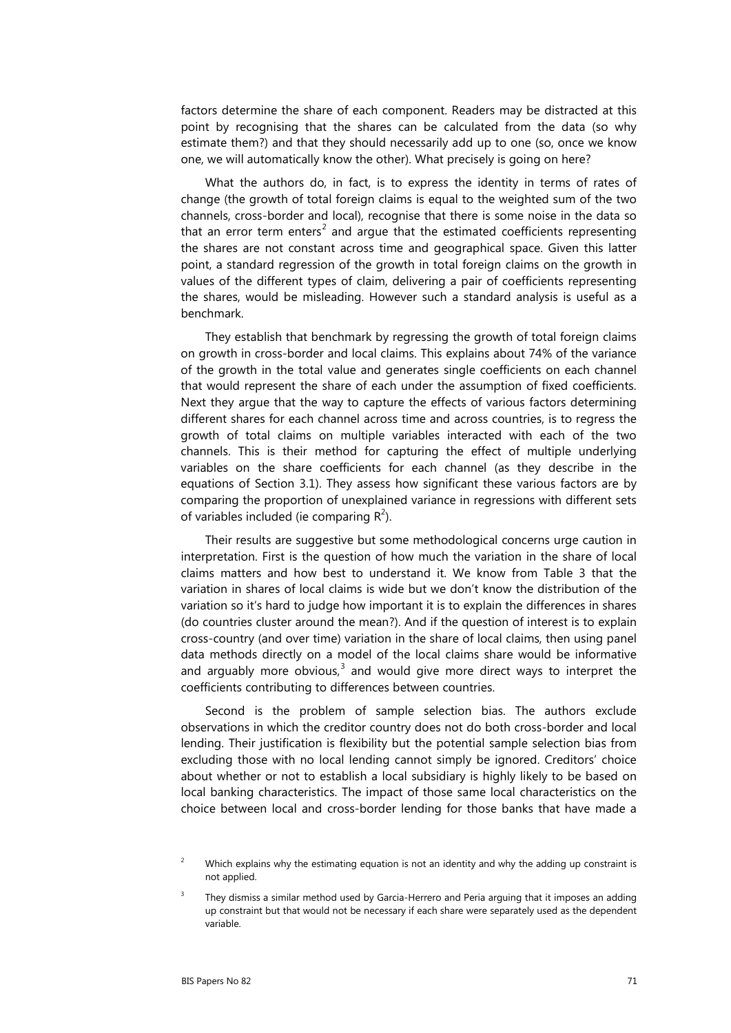factors determine the share of each component. Readers may be distracted at this point by recognising that the shares can be calculated from the data (so why estimate them?) and that they should necessarily add up to one (so, once we know one, we will automatically know the other). What precisely is going on here?

What the authors do, in fact, is to express the identity in terms of rates of change (the growth of total foreign claims is equal to the weighted sum of the two channels, cross-border and local), recognise that there is some noise in the data so that an error term enters<sup>[2](#page-2-0)</sup> and argue that the estimated coefficients representing the shares are not constant across time and geographical space. Given this latter point, a standard regression of the growth in total foreign claims on the growth in values of the different types of claim, delivering a pair of coefficients representing the shares, would be misleading. However such a standard analysis is useful as a benchmark.

They establish that benchmark by regressing the growth of total foreign claims on growth in cross-border and local claims. This explains about 74% of the variance of the growth in the total value and generates single coefficients on each channel that would represent the share of each under the assumption of fixed coefficients. Next they argue that the way to capture the effects of various factors determining different shares for each channel across time and across countries, is to regress the growth of total claims on multiple variables interacted with each of the two channels. This is their method for capturing the effect of multiple underlying variables on the share coefficients for each channel (as they describe in the equations of Section 3.1). They assess how significant these various factors are by comparing the proportion of unexplained variance in regressions with different sets of variables included (ie comparing  $R^2$ ).

Their results are suggestive but some methodological concerns urge caution in interpretation. First is the question of how much the variation in the share of local claims matters and how best to understand it. We know from Table 3 that the variation in shares of local claims is wide but we don't know the distribution of the variation so it's hard to judge how important it is to explain the differences in shares (do countries cluster around the mean?). And if the question of interest is to explain cross-country (and over time) variation in the share of local claims, then using panel data methods directly on a model of the local claims share would be informative and arguably more obvious, $3$  and would give more direct ways to interpret the coefficients contributing to differences between countries.

Second is the problem of sample selection bias. The authors exclude observations in which the creditor country does not do both cross-border and local lending. Their justification is flexibility but the potential sample selection bias from excluding those with no local lending cannot simply be ignored. Creditors' choice about whether or not to establish a local subsidiary is highly likely to be based on local banking characteristics. The impact of those same local characteristics on the choice between local and cross-border lending for those banks that have made a

<span id="page-2-0"></span><sup>&</sup>lt;sup>2</sup> Which explains why the estimating equation is not an identity and why the adding up constraint is not applied.

<span id="page-2-1"></span><sup>3</sup> They dismiss a similar method used by Garcia-Herrero and Peria arguing that it imposes an adding up constraint but that would not be necessary if each share were separately used as the dependent variable.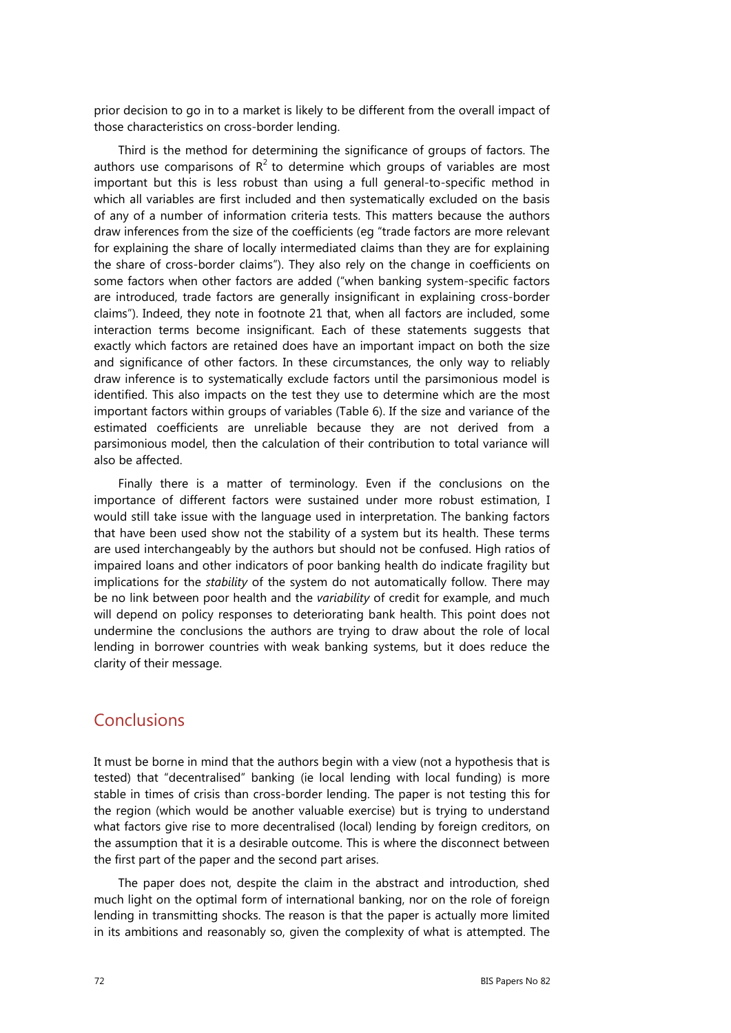prior decision to go in to a market is likely to be different from the overall impact of those characteristics on cross-border lending.

Third is the method for determining the significance of groups of factors. The authors use comparisons of  $R^2$  to determine which groups of variables are most important but this is less robust than using a full general-to-specific method in which all variables are first included and then systematically excluded on the basis of any of a number of information criteria tests. This matters because the authors draw inferences from the size of the coefficients (eg "trade factors are more relevant for explaining the share of locally intermediated claims than they are for explaining the share of cross-border claims"). They also rely on the change in coefficients on some factors when other factors are added ("when banking system-specific factors are introduced, trade factors are generally insignificant in explaining cross-border claims"). Indeed, they note in footnote 21 that, when all factors are included, some interaction terms become insignificant. Each of these statements suggests that exactly which factors are retained does have an important impact on both the size and significance of other factors. In these circumstances, the only way to reliably draw inference is to systematically exclude factors until the parsimonious model is identified. This also impacts on the test they use to determine which are the most important factors within groups of variables (Table 6). If the size and variance of the estimated coefficients are unreliable because they are not derived from a parsimonious model, then the calculation of their contribution to total variance will also be affected.

Finally there is a matter of terminology. Even if the conclusions on the importance of different factors were sustained under more robust estimation, I would still take issue with the language used in interpretation. The banking factors that have been used show not the stability of a system but its health. These terms are used interchangeably by the authors but should not be confused. High ratios of impaired loans and other indicators of poor banking health do indicate fragility but implications for the *stability* of the system do not automatically follow. There may be no link between poor health and the *variability* of credit for example, and much will depend on policy responses to deteriorating bank health. This point does not undermine the conclusions the authors are trying to draw about the role of local lending in borrower countries with weak banking systems, but it does reduce the clarity of their message.

## Conclusions

It must be borne in mind that the authors begin with a view (not a hypothesis that is tested) that "decentralised" banking (ie local lending with local funding) is more stable in times of crisis than cross-border lending. The paper is not testing this for the region (which would be another valuable exercise) but is trying to understand what factors give rise to more decentralised (local) lending by foreign creditors, on the assumption that it is a desirable outcome. This is where the disconnect between the first part of the paper and the second part arises.

The paper does not, despite the claim in the abstract and introduction, shed much light on the optimal form of international banking, nor on the role of foreign lending in transmitting shocks. The reason is that the paper is actually more limited in its ambitions and reasonably so, given the complexity of what is attempted. The